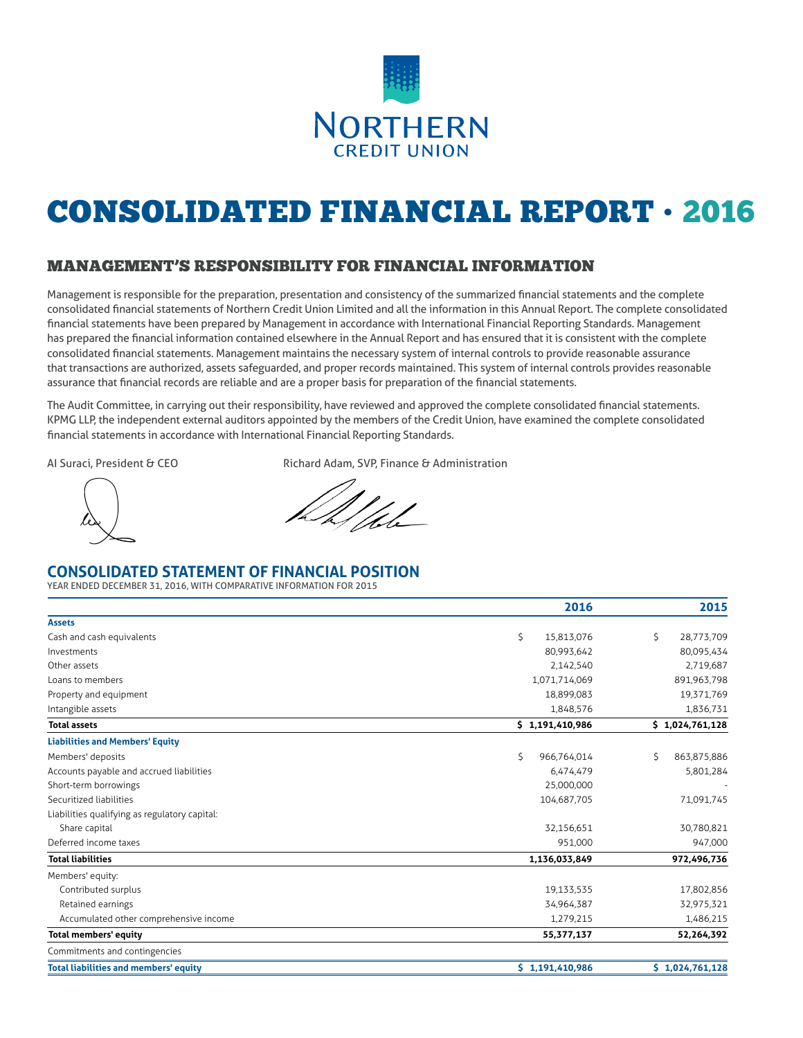

# CONSOLIDATED FINANCIAL REPORT • 2016

## MANAGEMENT'S RESPONSIBILITY FOR FINANCIAL INFORMATION

Management is responsible for the preparation, presentation and consistency of the summarized financial statements and the complete consolidated financial statements of Northern Credit Union Limited and all the information in this Annual Report. The complete consolidated financial statements have been prepared by Management in accordance with International Financial Reporting Standards. Management has prepared the financial information contained elsewhere in the Annual Report and has ensured that it is consistent with the complete consolidated financial statements. Management maintains the necessary system of internal controls to provide reasonable assurance that transactions are authorized, assets safeguarded, and proper records maintained. This system of internal controls provides reasonable assurance that financial records are reliable and are a proper basis for preparation of the financial statements.

The Audit Committee, in carrying out their responsibility, have reviewed and approved the complete consolidated financial statements. KPMG LLP, the independent external auditors appointed by the members of the Credit Union, have examined the complete consolidated financial statements in accordance with International Financial Reporting Standards.

AI Suraci, President & CEO Richard Adam, SVP, Finance & Administration

## **CONSOLIDATED STATEMENT OF FINANCIAL POSITION**

YEAR ENDED DECEMBER 31, 2016, WITH COMPARATIVE INFORMATION FOR 2015

|                                               | 2016              | 2015              |
|-----------------------------------------------|-------------------|-------------------|
| <b>Assets</b>                                 |                   |                   |
| Cash and cash equivalents                     | \$<br>15.813.076  | \$<br>28,773,709  |
| Investments                                   | 80,993,642        | 80,095,434        |
| Other assets                                  | 2,142,540         | 2,719,687         |
| Loans to members                              | 1,071,714,069     | 891,963,798       |
| Property and equipment                        | 18,899,083        | 19,371,769        |
| Intangible assets                             | 1,848,576         | 1,836,731         |
| <b>Total assets</b>                           | \$1,191,410,986   | \$1,024,761,128   |
| <b>Liabilities and Members' Equity</b>        |                   |                   |
| Members' deposits                             | Š.<br>966.764.014 | Š.<br>863,875,886 |
| Accounts payable and accrued liabilities      | 6,474,479         | 5,801,284         |
| Short-term borrowings                         | 25,000,000        |                   |
| Securitized liabilities                       | 104,687,705       | 71,091,745        |
| Liabilities qualifying as regulatory capital: |                   |                   |
| Share capital                                 | 32,156,651        | 30,780,821        |
| Deferred income taxes                         | 951,000           | 947,000           |
| <b>Total liabilities</b>                      | 1,136,033,849     | 972,496,736       |
| Members' equity:                              |                   |                   |
| Contributed surplus                           | 19,133,535        | 17,802,856        |
| Retained earnings                             | 34,964,387        | 32,975,321        |
| Accumulated other comprehensive income        | 1,279,215         | 1,486,215         |
| Total members' equity                         | 55,377,137        | 52,264,392        |
| Commitments and contingencies                 |                   |                   |
| <b>Total liabilities and members' equity</b>  | \$1,191,410,986   | \$1,024,761,128   |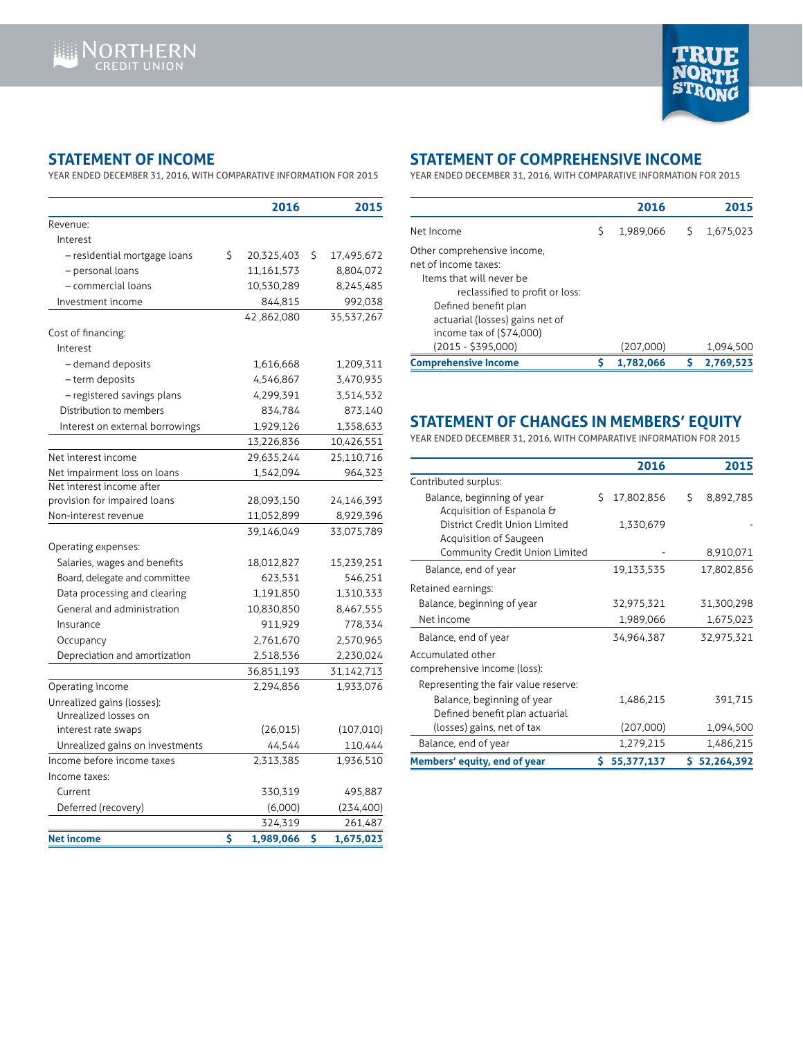

## **STATEMENT OF INCOME**

YEAR ENDED DECEMBER 31, 2016, WITH COMPARATIVE INFORMATION FOR 2015

|                                 | 2016             | 2015             |
|---------------------------------|------------------|------------------|
| Revenue:                        |                  |                  |
| Interest                        |                  |                  |
| - residential mortgage loans    | \$<br>20,325,403 | \$<br>17,495,672 |
| - personal loans                | 11,161,573       | 8,804,072        |
| – commercial loans              | 10,530,289       | 8,245,485        |
| Investment income               | 844,815          | 992,038          |
|                                 | 42,862,080       | 35,537,267       |
| Cost of financing:              |                  |                  |
| Interest                        |                  |                  |
| - demand deposits               | 1,616,668        | 1,209,311        |
| - term deposits                 | 4,546,867        | 3,470,935        |
| - registered savings plans      | 4,299,391        | 3,514,532        |
| Distribution to members         | 834,784          | 873,140          |
| Interest on external borrowings | 1,929,126        | 1,358,633        |
|                                 | 13,226,836       | 10,426,551       |
| Net interest income             | 29,635,244       | 25,110,716       |
| Net impairment loss on loans    | 1,542,094        | 964,323          |
| Net interest income after       |                  |                  |
| provision for impaired loans    | 28,093,150       | 24,146,393       |
| Non-interest revenue            | 11,052,899       | 8,929,396        |
|                                 | 39,146,049       | 33,075,789       |
| Operating expenses:             |                  |                  |
| Salaries, wages and benefits    | 18,012,827       | 15,239,251       |
| Board, delegate and committee   | 623,531          | 546,251          |
| Data processing and clearing    | 1,191,850        | 1,310,333        |
| General and administration      | 10,830,850       | 8,467,555        |
| Insurance                       | 911,929          | 778,334          |
| Occupancy                       | 2,761,670        | 2,570,965        |
| Depreciation and amortization   | 2,518,536        | 2,230,024        |
|                                 | 36,851,193       | 31,142,713       |
| Operating income                | 2,294,856        | 1,933,076        |
| Unrealized gains (losses):      |                  |                  |
| Unrealized losses on            |                  |                  |
| interest rate swaps             | (26, 015)        | (107,010)        |
| Unrealized gains on investments | 44,544           | 110,444          |
| Income before income taxes      | 2,313,385        | 1,936,510        |
| Income taxes:                   |                  |                  |
| Current                         | 330,319          | 495,887          |
| Deferred (recovery)             | (6,000)          | (234, 400)       |
|                                 | 324,319          | 261,487          |
| Net income                      | \$<br>1,989,066  | \$<br>1,675,023  |

# **STATEMENT OF COMPREHENSIVE INCOME**

YEAR ENDED DECEMBER 31, 2016, WITH COMPARATIVE INFORMATION FOR 2015

|   | 2016      |   | 2015      |
|---|-----------|---|-----------|
| Ŝ | 1.989.066 | S | 1,675,023 |
|   |           |   |           |
|   | (207,000) |   | 1,094,500 |
|   | 1.782.066 |   | 2.769.523 |
|   |           |   |           |

## **STATEMENT OF CHANGES IN MEMBERS' EQUITY**

YEAR ENDED DECEMBER 31, 2016, WITH COMPARATIVE INFORMATION FOR 2015

|                                      |    | 2016       |    | 2015         |
|--------------------------------------|----|------------|----|--------------|
| Contributed surplus:                 |    |            |    |              |
| Balance, beginning of year           | S. | 17,802,856 | S. | 8,892,785    |
| Acquisition of Espanola &            |    |            |    |              |
| District Credit Union Limited        |    | 1,330,679  |    |              |
| Acquisition of Saugeen               |    |            |    |              |
| Community Credit Union Limited       |    |            |    | 8,910,071    |
| Balance, end of year                 |    | 19,133,535 |    | 17,802,856   |
| Retained earnings:                   |    |            |    |              |
| Balance, beginning of year           |    | 32,975,321 |    | 31,300,298   |
| Net income                           |    | 1,989,066  |    | 1,675,023    |
| Balance, end of year                 |    | 34,964,387 |    | 32,975,321   |
| Accumulated other                    |    |            |    |              |
| comprehensive income (loss):         |    |            |    |              |
| Representing the fair value reserve: |    |            |    |              |
| Balance, beginning of year           |    | 1,486,215  |    | 391,715      |
| Defined benefit plan actuarial       |    |            |    |              |
| (losses) gains, net of tax           |    | (207,000)  |    | 1,094,500    |
| Balance, end of year                 |    | 1,279,215  |    | 1,486,215    |
| Members' equity, end of year         | S. | 55,377,137 |    | \$52,264,392 |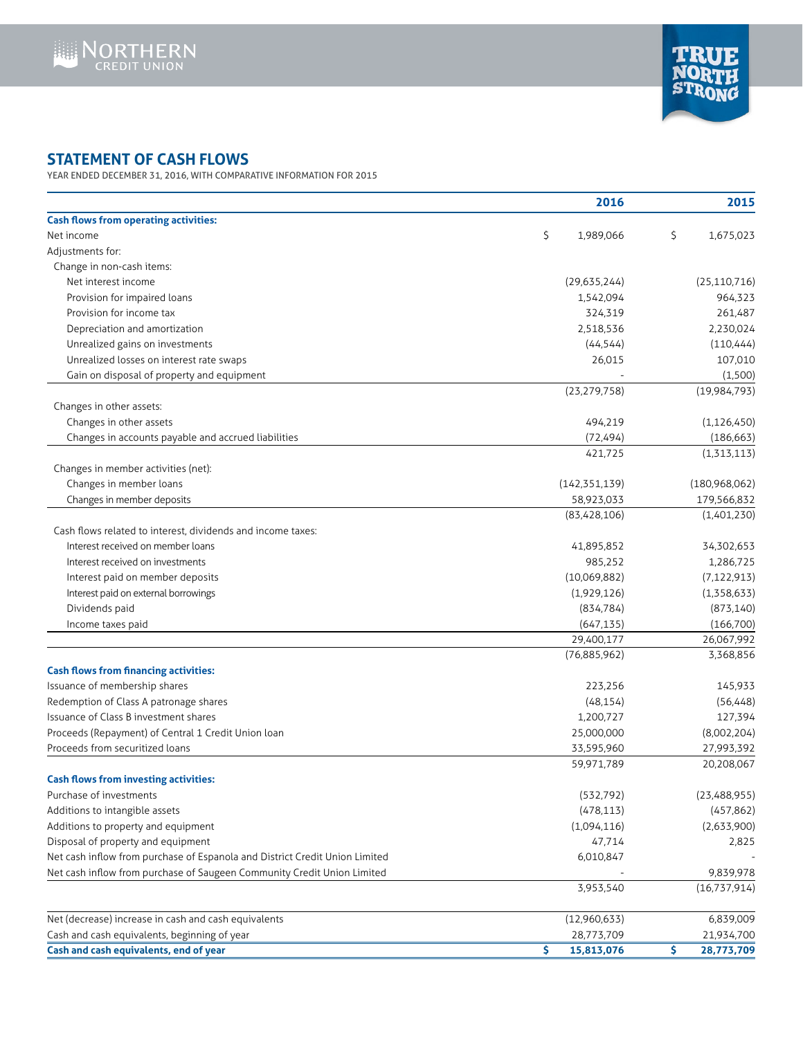



# **STATEMENT OF CASH FLOWS**

YEAR ENDED DECEMBER 31, 2016, WITH COMPARATIVE INFORMATION FOR 2015

|                                                                             | 2016             | 2015              |
|-----------------------------------------------------------------------------|------------------|-------------------|
| <b>Cash flows from operating activities:</b>                                |                  |                   |
| Net income                                                                  | \$<br>1,989,066  | \$<br>1,675,023   |
| Adjustments for:                                                            |                  |                   |
| Change in non-cash items:                                                   |                  |                   |
| Net interest income                                                         | (29,635,244)     | (25, 110, 716)    |
| Provision for impaired loans                                                | 1,542,094        | 964,323           |
| Provision for income tax                                                    | 324,319          | 261,487           |
| Depreciation and amortization                                               | 2,518,536        | 2,230,024         |
| Unrealized gains on investments                                             | (44, 544)        | (110, 444)        |
| Unrealized losses on interest rate swaps                                    | 26,015           | 107,010           |
| Gain on disposal of property and equipment                                  |                  | (1,500)           |
|                                                                             | (23, 279, 758)   | (19,984,793)      |
| Changes in other assets:                                                    |                  |                   |
| Changes in other assets                                                     | 494,219          | (1, 126, 450)     |
| Changes in accounts payable and accrued liabilities                         | (72, 494)        | (186, 663)        |
|                                                                             | 421,725          | (1,313,113)       |
| Changes in member activities (net):                                         |                  |                   |
| Changes in member loans                                                     | (142, 351, 139)  | (180,968,062)     |
| Changes in member deposits                                                  | 58,923,033       | 179,566,832       |
|                                                                             | (83, 428, 106)   | (1,401,230)       |
| Cash flows related to interest, dividends and income taxes:                 |                  |                   |
| Interest received on member loans                                           | 41,895,852       | 34,302,653        |
| Interest received on investments                                            | 985,252          | 1,286,725         |
| Interest paid on member deposits                                            | (10,069,882)     | (7, 122, 913)     |
| Interest paid on external borrowings                                        | (1,929,126)      | (1,358,633)       |
| Dividends paid                                                              | (834, 784)       | (873, 140)        |
| Income taxes paid                                                           | (647, 135)       | (166,700)         |
|                                                                             | 29,400,177       | 26,067,992        |
|                                                                             | (76,885,962)     | 3,368,856         |
| <b>Cash flows from financing activities:</b>                                |                  |                   |
| Issuance of membership shares                                               | 223,256          | 145,933           |
| Redemption of Class A patronage shares                                      | (48, 154)        | (56, 448)         |
| Issuance of Class B investment shares                                       | 1,200,727        | 127,394           |
| Proceeds (Repayment) of Central 1 Credit Union loan                         | 25,000,000       | (8,002,204)       |
| Proceeds from securitized loans                                             | 33,595,960       | 27,993,392        |
|                                                                             | 59,971,789       | 20,208,067        |
| <b>Cash flows from investing activities:</b>                                |                  |                   |
| Purchase of investments                                                     | (532, 792)       | (23,488,955)      |
| Additions to intangible assets                                              | (478, 113)       | (457, 862)        |
| Additions to property and equipment                                         | (1,094,116)      | (2,633,900)       |
| Disposal of property and equipment                                          | 47,714           | 2,825             |
| Net cash inflow from purchase of Espanola and District Credit Union Limited | 6,010,847        |                   |
| Net cash inflow from purchase of Saugeen Community Credit Union Limited     |                  | 9,839,978         |
|                                                                             | 3,953,540        | (16,737,914)      |
| Net (decrease) increase in cash and cash equivalents                        | (12,960,633)     | 6,839,009         |
| Cash and cash equivalents, beginning of year                                | 28,773,709       | 21,934,700        |
| Cash and cash equivalents, end of year                                      | \$<br>15,813,076 | \$.<br>28,773,709 |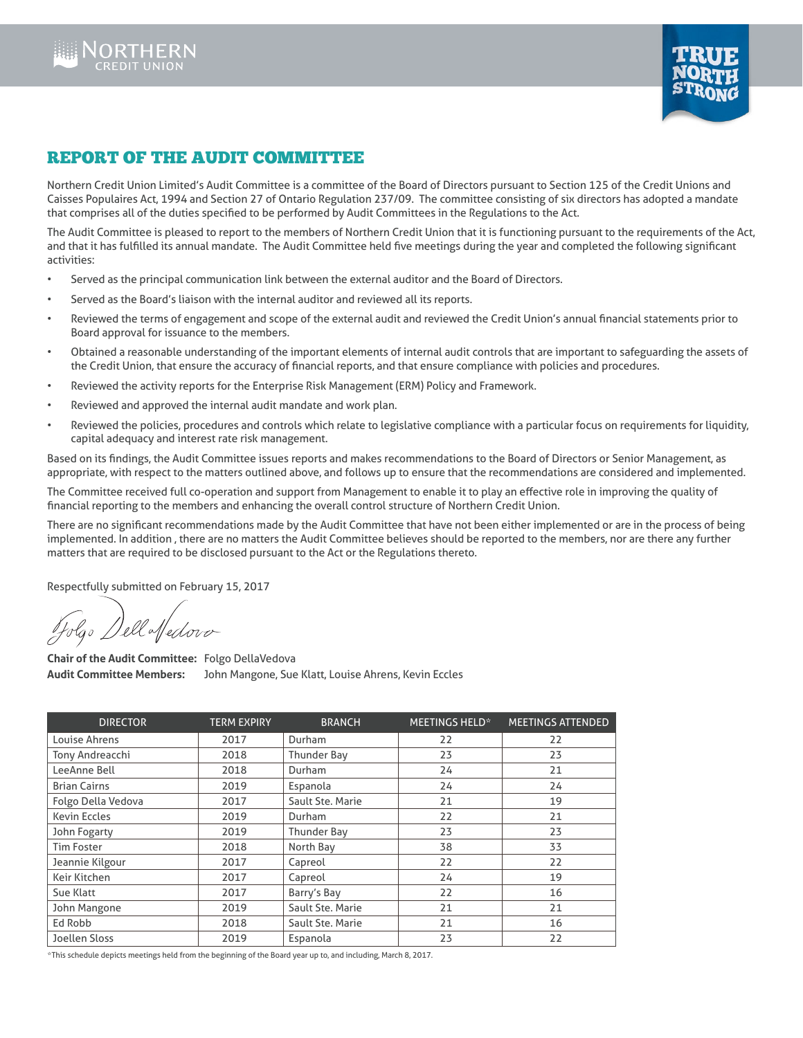



## REPORT OF THE AUDIT COMMITTEE

Northern Credit Union Limited's Audit Committee is a committee of the Board of Directors pursuant to Section 125 of the Credit Unions and Caisses Populaires Act, 1994 and Section 27 of Ontario Regulation 237/09. The committee consisting of six directors has adopted a mandate that comprises all of the duties specified to be performed by Audit Committees in the Regulations to the Act.

The Audit Committee is pleased to report to the members of Northern Credit Union that it is functioning pursuant to the requirements of the Act, and that it has fulfilled its annual mandate. The Audit Committee held five meetings during the year and completed the following significant activities:

- Served as the principal communication link between the external auditor and the Board of Directors.
- Served as the Board's liaison with the internal auditor and reviewed all its reports.
- Reviewed the terms of engagement and scope of the external audit and reviewed the Credit Union's annual financial statements prior to Board approval for issuance to the members.
- Obtained a reasonable understanding of the important elements of internal audit controls that are important to safeguarding the assets of the Credit Union, that ensure the accuracy of financial reports, and that ensure compliance with policies and procedures.
- Reviewed the activity reports for the Enterprise Risk Management (ERM) Policy and Framework.
- Reviewed and approved the internal audit mandate and work plan.
- Reviewed the policies, procedures and controls which relate to legislative compliance with a particular focus on requirements for liquidity, capital adequacy and interest rate risk management.

Based on its findings, the Audit Committee issues reports and makes recommendations to the Board of Directors or Senior Management, as appropriate, with respect to the matters outlined above, and follows up to ensure that the recommendations are considered and implemented.

The Committee received full co-operation and support from Management to enable it to play an effective role in improving the quality of financial reporting to the members and enhancing the overall control structure of Northern Credit Union.

There are no significant recommendations made by the Audit Committee that have not been either implemented or are in the process of being implemented. In addition , there are no matters the Audit Committee believes should be reported to the members, nor are there any further matters that are required to be disclosed pursuant to the Act or the Regulations thereto.

Respectfully submitted on February 15, 2017

Go Dell Medoro

**Chair of the Audit Committee:** Folgo DellaVedova **Audit Committee Members:** John Mangone, Sue Klatt, Louise Ahrens, Kevin Eccles

| <b>DIRECTOR</b>     | <b>TERM EXPIRY</b> | <b>BRANCH</b>      | <b>MEETINGS HELD*</b> | <b>MEETINGS ATTENDED</b> |
|---------------------|--------------------|--------------------|-----------------------|--------------------------|
| Louise Ahrens       | 2017               | Durham             | 22                    | 22                       |
| Tony Andreacchi     | 2018               | Thunder Bay        | 23                    | 23                       |
| LeeAnne Bell        | 2018               | Durham             | 24                    | 21                       |
| <b>Brian Cairns</b> | 2019               | Espanola           | 24                    | 24                       |
| Folgo Della Vedova  | 2017               | Sault Ste. Marie   | 21                    | 19                       |
| <b>Kevin Eccles</b> | 2019               | Durham             | 22                    | 21                       |
| John Fogarty        | 2019               | <b>Thunder Bay</b> | 23                    | 23                       |
| <b>Tim Foster</b>   | 2018               | North Bay          | 38                    | 33                       |
| Jeannie Kilgour     | 2017               | Capreol            | 22                    | 22                       |
| Keir Kitchen        | 2017               | Capreol            | 24                    | 19                       |
| Sue Klatt           | 2017               | Barry's Bay        | 22                    | 16                       |
| John Mangone        | 2019               | Sault Ste. Marie   | 21                    | 21                       |
| Ed Robb             | 2018               | Sault Ste. Marie   | 21                    | 16                       |
| Joellen Sloss       | 2019               | Espanola           | 23                    | 22                       |

\*This schedule depicts meetings held from the beginning of the Board year up to, and including, March 8, 2017.